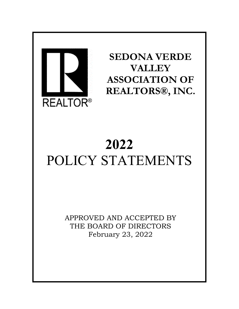

**SEDONA VERDE VALLEY ASSOCIATION OF REALTORS®, INC.**

# **2022** POLICY STATEMENTS

APPROVED AND ACCEPTED BY THE BOARD OF DIRECTORS February 23, 2022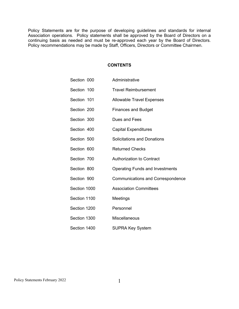Policy Statements are for the purpose of developing guidelines and standards for internal Association operations. Policy statements shall be approved by the Board of Directors on a continuing basis as needed and must be re-approved each year by the Board of Directors. Policy recommendations may be made by Staff, Officers, Directors or Committee Chairmen.

# **CONTENTS**

| Section 000  | Administrative                           |
|--------------|------------------------------------------|
| Section 100  | <b>Travel Reimbursement</b>              |
| Section 101  | <b>Allowable Travel Expenses</b>         |
| Section 200  | <b>Finances and Budget</b>               |
| Section 300  | Dues and Fees                            |
| Section 400  | <b>Capital Expenditures</b>              |
| Section 500  | <b>Solicitations and Donations</b>       |
| Section 600  | <b>Returned Checks</b>                   |
| Section 700  | <b>Authorization to Contract</b>         |
| Section 800  | <b>Operating Funds and Investments</b>   |
| Section 900  | <b>Communications and Correspondence</b> |
| Section 1000 | <b>Association Committees</b>            |
| Section 1100 | Meetings                                 |
| Section 1200 | Personnel                                |
| Section 1300 | <b>Miscellaneous</b>                     |
| Section 1400 | <b>SUPRA Key System</b>                  |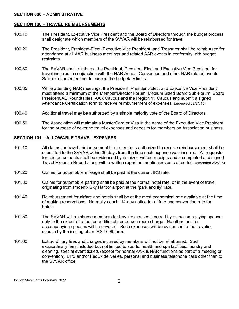# **SECTION 000 – ADMINISTRATIVE**

# **SECTION 100 – TRAVEL REIMBURSEMENTS**

- 100.10 The President, Executive Vice President and the Board of Directors through the budget process shall designate which members of the SVVAR will be reimbursed for travel.
- 100.20 The President, President-Elect, Executive Vice President, and Treasurer shall be reimbursed for attendance at all AAR business meetings and related AAR events in conformity with budget **restraints**
- 100.30 The SVVAR shall reimburse the President, President-Elect and Executive Vice President for travel incurred in conjunction with the NAR Annual Convention and other NAR related events. Said reimbursement not to exceed the budgetary limits.
- 100.35 While attending NAR meetings, the President, President-Elect and Executive Vice President must attend a minimum of the Member/Director Forum, Medium Sized Board Sub-Forum, Board President/AE Roundtables, AAR Caucus and the Region 11 Caucus and submit a signed Attendance Certification form to receive reimbursement of expenses. (approved 02/24/15)
- 100.40 Additional travel may be authorized by a simple majority vote of the Board of Directors.
- 100.50 The Association will maintain a MasterCard or Visa in the name of the Executive Vice President for the purpose of covering travel expenses and deposits for members on Association business.

# **SECTION 101 – ALLOWABLE TRAVEL EXPENSES**

- 101.10 All claims for travel reimbursement from members authorized to receive reimbursement shall be submitted to the SVVAR within 30 days from the time such expense was incurred. All requests for reimbursements shall be evidenced by itemized written receipts and a completed and signed Travel Expense Report along with a written report on meetings/events attended. (amended 2/25/15)
- 101.20 Claims for automobile mileage shall be paid at the current IRS rate.
- 101.30 Claims for automobile parking shall be paid at the normal hotel rate, or in the event of travel originating from Phoenix Sky Harbor airport at the "park and fly" rate.
- 101.40 Reimbursement for airfare and hotels shall be at the most economical rate available at the time of making reservations. Normally coach, 14-day notice for airfare and convention rate for hotels.
- 101.50 The SVVAR will reimburse members for travel expenses incurred by an accompanying spouse only to the extent of a fee for additional per person room charge. No other fees for accompanying spouses will be covered. Such expenses will be evidenced to the traveling spouse by the issuing of an IRS 1099 form.
- 101.60 Extraordinary fees and charges incurred by members will not be reimbursed. Such extraordinary fees included but not limited to sports, health and spa facilities, laundry and cleaning, special event tickets (except for normal AAR & NAR functions as part of a meeting or convention), UPS and/or FedEx deliveries, personal and business telephone calls other than to the SVVAR office.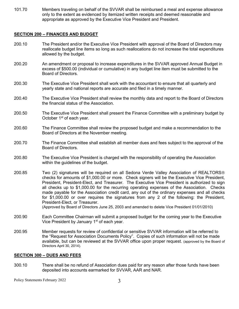101.70 Members traveling on behalf of the SVVAR shall be reimbursed a meal and expense allowance only to the extent as evidenced by itemized written receipts and deemed reasonable and appropriate as approved by the Executive Vice President and President.

# **SECTION 200 – FINANCES AND BUDGET**

- 200.10 The President and/or the Executive Vice President with approval of the Board of Directors may reallocate budget line items so long as such reallocations do not increase the total expenditures allowed by the budget.
- 200.20 An amendment or proposal to increase expenditures in the SVVAR approved Annual Budget in excess of \$500.00 (individual or cumulative) in any budget line item must be submitted to the Board of Directors.
- 200.30 The Executive Vice President shall work with the accountant to ensure that all quarterly and yearly state and national reports are accurate and filed in a timely manner.
- 200.40 The Executive Vice President shall review the monthly data and report to the Board of Directors the financial status of the Association.
- 200.50 The Executive Vice President shall present the Finance Committee with a preliminary budget by October 1<sup>st</sup> of each year.
- 200.60 The Finance Committee shall review the proposed budget and make a recommendation to the Board of Directors at the November meeting.
- 200.70 The Finance Committee shall establish all member dues and fees subject to the approval of the Board of Directors.
- 200.80 The Executive Vice President is charged with the responsibility of operating the Association within the guidelines of the budget.
- 200.85 Two (2) signatures will be required on all Sedona Verde Valley Association of REALTORS checks for amounts of \$1,000.00 or more. Check signers will be the Executive Vice President, President, President-Elect, and Treasurer. The Executive Vice President is authorized to sign all checks up to \$1,000.00 for the recurring operating expenses of the Association. Checks made payable for the Association credit card, any out of the ordinary expenses and all checks for \$1,000.00 or over requires the signatures from any 2 of the following: the President, President-Elect, or Treasurer.

(Approved by Board of Directors June 25, 2003 and amended to delete Vice President 01/01/2010)

- 200.90 Each Committee Chairman will submit a proposed budget for the coming year to the Executive Vice President by January 1<sup>st</sup> of each year.
- 200.95 Member requests for review of confidential or sensitive SVVAR information will be referred to the "Request for Association Documents Policy". Copies of such information will not be made available, but can be reviewed at the SVVAR office upon proper request. (approved by the Board of Directors April 30, 2014).

## **SECTION 300 – DUES AND FEES**

300.10 There shall be no refund of Association dues paid for any reason after those funds have been deposited into accounts earmarked for SVVAR, AAR and NAR.

Policy Statements February 2022 3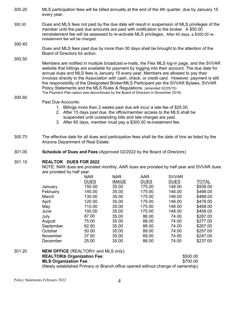- 300.20 MLS participation fees will be billed annually at the end of the 4th quarter, due by January 15 every year.
- 300.30 Dues and MLS fees not paid by the due date will result in suspension of MLS privileges of the member until the past due amounts are paid with notification to the broker. A \$50.00 reinstatement fee will be assessed to re-activate MLS privileges. After 60 days, a \$300.00 reinstatement fee will be charged.

#### 300.40 Dues and MLS fees past due by more than 30 days shall be brought to the attention of the Board of Directors for action.

300.50

Members are notified in multiple broadcast e-mails, the Flex MLS log-in page, and the SVVAR website that billings are available for payment by logging into their account. The due date for annual dues and MLS fees is January 15 every year, Members are allowed to pay their invoices directly to the Association with cash, check, or credit card. However, payment is still the responsibility of the Designated Broker/MLS Participant per the SVVAR Bylaws, SVVAR Policy Statements and the MLS Rules & Regulations. (amended 02/25/15) The Payment Plan option was discontinued by the Board of Directors in November 2016)

#### 300.60 Past Due Accounts:

- 1. Billings more than 2 weeks past due will incur a late fee of \$25.00.
- 2. After 15 days past due, the office/member access to the MLS shall be suspended until outstanding bills and late charges are paid.
- 3. After 60 days, member must pay a \$300.00 re-instatment fee.
- 300.70 The effective date for all dues and participation fees shall be the date of hire as listed by the Arizona Department of Real Estate.
- 301.00 **Schedule of Dues and Fees** (Approved 02/2022 by the Board of Directors)

#### 301.10 **REALTOR DUES FOR 2022**

NOTE: NAR dues are prorated monthly, AAR dues are prorated by half year and SVVAR dues are prorated by half year.

|           | <b>NAR</b>  | <b>NAR</b>   | <b>AAR</b>  | <b>SVVAR</b> |              |
|-----------|-------------|--------------|-------------|--------------|--------------|
|           | <b>DUES</b> | <b>IMAGE</b> | <b>DUES</b> | <b>DUES</b>  | <b>TOTAL</b> |
| January   | 150.00      | 35.00        | 175.00      | 148.00       | \$508.00     |
| February  | 140.00      | 35.00        | 175.00      | 148.00       | \$498.00     |
| March     | 130.00      | 35.00        | 175.00      | 148.00       | \$488.00     |
| April     | 120.00      | 35.00        | 175.00      | 148.00       | \$478.00     |
| May       | 110.00      | 35.00        | 175.00      | 148.00       | \$468.00     |
| June      | 100.00      | 35.00        | 175.00      | 148.00       | \$458.00     |
| July      | 87.00       | 35.00        | 88.00       | 74.00        | \$287.00     |
| August    | 75.00       | 35.00        | 88.00       | 74.00        | \$277.00     |
| September | 62.50       | 35.00        | 88.00       | 74.00        | \$267.00     |
| October   | 50.00       | 35.00        | 88.00       | 74.00        | \$257.00     |
| November  | 37.50       | 35.00        | 88.00       | 74.00        | \$247.00     |
| December  | 25.00       | 35.00        | 88.00       | 74.00        | \$237.00     |

# 301.20 **NEW OFFICE** (REALTOR<sup>®</sup> and MLS only): **REALTOR Organization Fee**: \$500.00 **MLS Organization Fee**: \$700.00 (Newly established Primary or Branch office opened without change of ownership)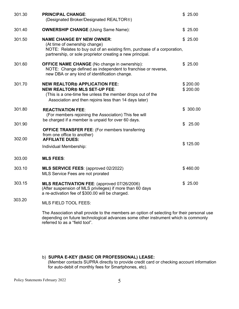| 301.30           | <b>PRINCIPAL CHANGE:</b><br>(Designated Broker/Designated REALTOR®)                                                                                                                                        |     |                      |
|------------------|------------------------------------------------------------------------------------------------------------------------------------------------------------------------------------------------------------|-----|----------------------|
| 301.40           | <b>OWNERSHIP CHANGE (Using Same Name):</b>                                                                                                                                                                 |     | \$25.00              |
| 301.50           | <b>NAME CHANGE BY NEW OWNER:</b><br>(At time of ownership change)<br>NOTE: Relates to buy out of an existing firm, purchase of a corporation,<br>partnership, or sole proprietor creating a new principal. |     | \$25.00              |
| 301.60           | <b>OFFICE NAME CHANGE</b> (No change in ownership):<br>NOTE: Change defined as independent to franchise or reverse,<br>new DBA or any kind of identification change.                                       |     | \$25.00              |
| 301.70           | <b>NEW REALTOR® APPLICATION FEE:</b><br><b>NEW REALTOR® MLS SET-UP FEE:</b><br>(This is a one-time fee unless the member drops out of the<br>Association and then rejoins less than 14 days later)         |     | \$200.00<br>\$200.00 |
| 301.80           | <b>REACTIVATION FEE:</b><br>(For members rejoining the Association) This fee will<br>be charged if a member is unpaid for over 60 days.                                                                    |     | \$300.00             |
| 301.90<br>302.00 | <b>OFFICE TRANSFER FEE:</b> (For members transferring<br>from one office to another)<br><b>AFFILIATE DUES:</b>                                                                                             | \$. | 25.00                |
|                  | Individual Membership:                                                                                                                                                                                     |     | \$125.00             |
| 303.00           | <b>MLS FEES:</b>                                                                                                                                                                                           |     |                      |
| 303.10           | <b>MLS SERVICE FEES: (approved 02/2022)</b><br>MLS Service Fees are not prorated                                                                                                                           |     | \$460.00             |
| 303.15           | MLS REACTIVATION FEE: (approved 07/26/2006)<br>(After suspension of MLS privileges) if more than 60 days<br>a re-activation fee of \$300.00 will be charged.                                               |     | \$25.00              |
| 303.20           | <b>MLS FIELD TOOL FEES:</b>                                                                                                                                                                                |     |                      |

The Association shall provide to the members an option of selecting for their personal use depending on future technological advances some other instrument which is commonly referred to as a "field tool".

b) **SUPRA E-KEY (BASIC OR PROFESSIONAL) LEASE:** (Member contacts SUPRA directly to provide credit card or checking account information for auto-debit of monthly fees for Smartphones, etc).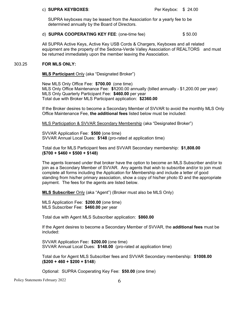#### c) **SUPRA KEYBOXES**: Per Keybox: \$ 24.00

 SUPRA keyboxes may be leased from the Association for a yearly fee to be determined annually by the Board of Directors.

# d) **SUPRA COOPERATING KEY FEE**: (one-time fee) \$ 50.00

All SUPRA Active Keys, Active Key USB Cords & Chargers, Keyboxes and all related equipment are the property of the Sedona-Verde Valley Association of REALTORS and must be returned immediately upon the member leaving the Association.

#### 303.25 **FOR MLS ONLY:**

# **MLS Participant** Only (aka "Designated Broker")

New MLS Only Office Fee: **\$700.00** (one time) MLS Only Office Maintenance Fee: **\$1**200.00 annually (billed annually - \$1,200.00 per year) MLS Only Quarterly Participant Fee: **\$460.00** per year Total due with Broker MLS Participant application: **\$2360.00**

If the Broker desires to become a Secondary Member of SVVAR to avoid the monthly MLS Only Office Maintenance Fee, **the additional fees** listed below must be included:

MLS Participation & SVVAR Secondary Membership (aka "Designated Broker")

SVVAR Application Fee: **\$500** (one time) SVVAR Annual Local Dues: **\$148** (pro-rated at application time)

Total due for MLS Participant fees and SVVAR Secondary membership: **\$1,808.00 (\$700 + \$460 + \$500 + \$148)**

The agents licensed under that broker have the option to become an MLS Subscriber and/or to join as a Secondary Member of SVVAR. Any agents that wish to subscribe and/or to join must complete all forms including the Application for Membership and include a letter of good standing from his/her primary association, show a copy of his/her photo ID and the appropriate payment. The fees for the agents are listed below.

**MLS Subscriber** Only (aka "Agent") (Broker must also be MLS Only)

MLS Application Fee: **\$200.00** (one time) MLS Subscriber Fee: **\$460.00** per year

Total due with Agent MLS Subscriber application: **\$860.00**

If the Agent desires to become a Secondary Member of SVVAR, the **additional fees** must be included:

SVVAR Application Fee**: \$200.00** (one time) SVVAR Annual Local Dues: **\$148.00** (pro-rated at application time)

Total due for Agent MLS Subscriber fees and SVVAR Secondary membership: **\$1008.00 (\$200 + 460 + \$200 + \$148**)

Optional: SUPRA Cooperating Key Fee: **\$50.00** (one time)

Policy Statements February 2022 6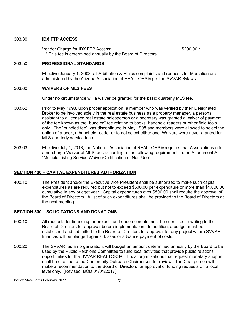## 303.30 **IDX FTP ACCESS**

Vendor Charge for IDX FTP Access:  $$200.00$  \* \* This fee is determined annually by the Board of Directors.

## 303.50 **PROFESSIONAL STANDARDS**

Effective January 1, 2003, all Arbitration & Ethics complaints and requests for Mediation are administered by the Arizona Association of REALTORS® per the SVVAR Bylaws.

## 303.60 **WAIVERS OF MLS FEES**

Under no circumstance will a waiver be granted for the basic quarterly MLS fee.

- 303.62 Prior to May 1998, upon proper application, a member who was verified by their Designated Broker to be involved solely in the real estate business as a property manager, a personal assistant to a licensed real estate salesperson or a secretary was granted a waiver of payment of the fee known as the "bundled" fee relating to books, handheld readers or other field tools only. The "bundled fee" was discontinued in May 1998 and members were allowed to select the option of a book, a handheld reader or to not select either one. Waivers were never granted for MLS quarterly service fees.
- 303.63 Effective July 1, 2018, the National Association of REALTORS® requires that Associations offer a no-charge Waiver of MLS fees according to the following requirements: (see Attachment A – "Multiple Listing Service Waiver/Certification of Non-Use".

## **SECTION 400 – CAPITAL EXPENDITURES AUTHORIZATION**

400.10 The President and/or the Executive Vice President shall be authorized to make such capital expenditures as are required but not to exceed \$500.00 per expenditure or more than \$1,000.00 cumulative in any budget year. Capital expenditures over \$500.00 shall require the approval of the Board of Directors. A list of such expenditures shall be provided to the Board of Directors at the next meeting.

## **SECTION 500 – SOLICITATIONS AND DONATIONS**

- 500.10 All requests for financing for projects and endorsements must be submitted in writing to the Board of Directors for approval before implementation. In addition, a budget must be established and submitted to the Board of Directors for approval for any project where SVVAR finances will be pledged against losses or advance payment of costs.
- 500.20 The SVVAR, as an organization, will budget an amount determined annually by the Board to be used by the Public Relations Committee to fund local activities that provide public relations opportunities for the SVVAR REALTORS<sup>®</sup>. Local organizations that request monetary support shall be directed to the Community Outreach Chairperson for review. The Chairperson will make a recommendation to the Board of Directors for approval of funding requests on a local level only. (Revised BOD 01/01/2017)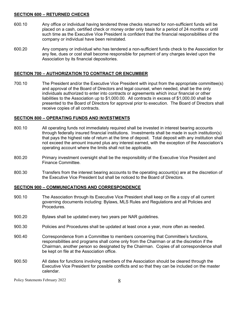# **SECTION 600 – RETURNED CHECKS**

- 600.10 Any office or individual having tendered three checks returned for non-sufficient funds will be placed on a cash, certified check or money order only basis for a period of 24 months or until such time as the Executive Vice President is confident that the financial responsibilities of the company or individual have been reinstated.
- 600.20 Any company or individual who has tendered a non-sufficient funds check to the Association for any fee, dues or cost shall become responsible for payment of any charges levied upon the Association by its financial depositories.

# **SECTION 700 – AUTHORIZATION TO CONTRACT OR ENCUMBER**

700.10 The President and/or the Executive Vice President with input from the appropriate committee(s) and approval of the Board of Directors and legal counsel, when needed, shall be the only individuals authorized to enter into contracts or agreements which incur financial or other liabilities to the Association up to \$1,000.00. All contracts in excess of \$1,000.00 shall be presented to the Board of Directors for approval prior to execution. The Board of Directors shall receive copies of all contracts.

# **SECTION 800 – OPERATING FUNDS AND INVESTMENTS**

- 800.10 All operating funds not immediately required shall be invested in interest bearing accounts through federally insured financial institutions. Investments shall be made in such institution(s) that pays the highest rate of return at the time of deposit. Total deposit with any institution shall not exceed the amount insured plus any interest earned, with the exception of the Association's operating account where the limits shall not be applicable.
- 800.20 Primary investment oversight shall be the responsibility of the Executive Vice President and Finance Committee.
- 800.30 Transfers from the interest bearing accounts to the operating account(s) are at the discretion of the Executive Vice President but shall be noticed to the Board of Directors.

# **SECTION 900 – COMMUNICATIONS AND CORRESPONDENCE**

- 900.10 The Association through its Executive Vice President shall keep on file a copy of all current governing documents including: Bylaws, MLS Rules and Regulations and all Policies and **Procedures**
- 900.20 Bylaws shall be updated every two years per NAR guidelines.
- 900.30 Policies and Procedures shall be updated at least once a year, more often as needed.
- 900.40 Correspondence from a Committee to members concerning that Committee's functions, responsibilities and programs shall come only from the Chairman or at the discretion if the Chairman, another person so designated by the Chairman. Copies of all correspondence shall be kept on file at the Association office.
- 900.50 All dates for functions involving members of the Association should be cleared through the Executive Vice President for possible conflicts and so that they can be included on the master calendar.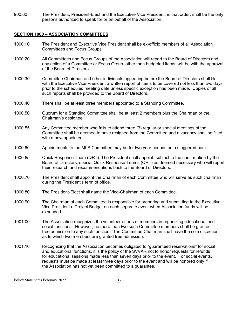900.60 The President, President-Elect and the Executive Vice President, in that order, shall be the only persons authorized to speak for or on behalf of the Association.

# **SECTION 1000 – ASSOCIATION COMMITTEES**

- 1000.10 The President and Executive Vice President shall be ex-officio members of all Association Committees and Focus Groups.
- 1000.20 All Committees and Focus Groups of the Association will report to the Board of Directors and any action of a Committee or Focus Group, other than budgeted items, will be with the approval of the Board of Directors.
- 1000.30 Committee Chairman and other individuals appearing before the Board of Directors shall file with the Executive Vice President a written report of items to be covered not less than two days prior to the scheduled meeting date unless specific exception has been made. Copies of all such reports shall be provided to the Board of Directors.
- 1000.40 There shall be at least three members appointed to a Standing Committee.
- 1000.50 Quorum for a Standing Committee shall be at least 2 members plus the Chairman or the Chairman's designee.
- 1000.55 Any Committee member who fails to attend three (3) regular or special meetings of the Committee shall be deemed to have resigned from the Committee and a vacancy shall be filled with a new appointee.
- 1000.60 Appointments to the MLS Committee may be for two year periods on a staggered basis.
- 1000.65 Quick Response Team (QRT). The President shall appoint, subject to the confirmation by the Board of Directors, special Quick Response Teams (QRT) as deemed necessary who will report their research and recommendations back to the Board of Directors.
- 1000.70 The President shall appoint the Chairman of each Committee who will serve as such chairman during the President's term of office.
- 1000.80 The President-Elect shall name the Vice-Chairman of each Committee.
- 1000.90 The Chairman of each Committee is responsible for preparing and submitting to the Executive Vice President a Project Budget on each separate event when Association funds will be expended.
- 1001.00 The Association recognizes the volunteer efforts of members in organizing educational and social functions. However, no more than two such Committee members shall be granted free admission to any such function. The Committee Chairman shall have the sole discretion as to which two members are granted free admission.
- 1001.10 Recognizing that the Association becomes obligated to "guaranteed reservations" for social and educational functions, it is the policy of the SVVAR not to honor requests for refunds for educational sessions made less than seven days prior to the event. For social events, requests must be made at least three days prior to the event and will be honored only if the Association has not yet been committed to a guarantee.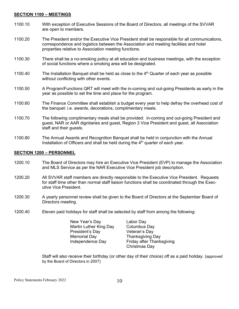# **SECTION 1100 – MEETINGS**

- 1100.10 With exception of Executive Sessions of the Board of Directors, all meetings of the SVVAR are open to members.
- 1100.20 The President and/or the Executive Vice President shall be responsible for all communications, correspondence and logistics between the Association and meeting facilities and hotel properties relative to Association meeting functions.
- 1100.30 There shall be a no-smoking policy at all education and business meetings, with the exception of social functions where a smoking area will be designated.
- 1100.40 The Installation Banquet shall be held as close to the  $4<sup>th</sup>$  Quarter of each year as possible without conflicting with other events.
- 1100.50 A Program/Functions QRT will meet with the in-coming and out-going Presidents as early in the year as possible to set the time and place for the program.
- 1100.60 The Finance Committee shall establish a budget every year to help defray the overhead cost of the banquet: i.e. awards, decorations, complimentary meals.
- 1100.70 The following complimentary meals shall be provided: in-coming and out-going President and guest, NAR or AAR dignitaries and guest, Region 3 Vice President and guest, all Association staff and their guests.
- 1100.80 The Annual Awards and Recognition Banquet shall be held in conjunction with the Annual Installation of Officers and shall be held during the  $4<sup>th</sup>$  quarter of each year.

# **SECTION 1200 – PERSONNEL**

- 1200.10 The Board of Directors may hire an Executive Vice President (EVP) to manage the Association and MLS Service as per the NAR Executive Vice President job description.
- 1200.20 All SVVAR staff members are directly responsible to the Executive Vice President. Requests for staff time other than normal staff liaison functions shall be coordinated through the Executive Vice President.
- 1200.30 A yearly personnel review shall be given to the Board of Directors at the September Board of Directors meeting.
- 1200.40 Eleven paid holidays for staff shall be selected by staff from among the following:

| New Year's Day         | L٤ |
|------------------------|----|
| Martin Luther King Day | C  |
| President's Day        | V  |
| <b>Memorial Day</b>    | TI |
| Independence Day       | F۱ |
|                        |    |

abor Day olumbus Day eteran's Day hanksgiving Day riday after Thanksgiving Christmas Day

Staff will also receive their birthday (or other day of their choice) off as a paid holiday. (approved by the Board of Directors in 2007)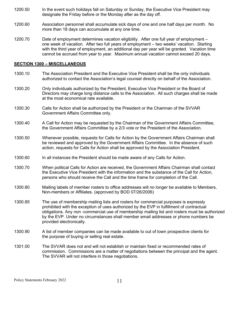- 1200.50 In the event such holidays fall on Saturday or Sunday, the Executive Vice President may designate the Friday before or the Monday after as the day off.
- 1200.60 Association personnel shall accumulate sick days of one and one half days per month. No more than 18 days can accumulate at any one time.
- 1200.70 Date of employment determines vacation eligibility. After one full year of employment one week of vacation. After two full years of employment – two weeks' vacation. Starting with the third year of employment, an additional day per year will be granted. Vacation time cannot be accrued from year to year. Maximum annual vacation cannot exceed 20 days.

## **SECTION 1300 – MISCELLANEOUS**

- 1300.10 The Association President and the Executive Vice President shall be the only individuals authorized to contact the Association's legal counsel directly on behalf of the Association.
- 1300.20 Only individuals authorized by the President, Executive Vice President or the Board of Directors may charge long distance calls to the Association. All such charges shall be made at the most economical rate available.
- 1300.30 Calls for Action shall be authorized by the President or the Chairman of the SVVAR Government Affairs Committee only.
- 1300.40 A Call for Action may be requested by the Chairman of the Government Affairs Committee, the Government Affairs Committee by a 2/3 vote or the President of the Association.
- 1300.50 Whenever possible, requests for Calls for Action by the Government Affairs Chairman shall be reviewed and approved by the Government Affairs Committee. In the absence of such action, requests for Calls for Action shall be approved by the Association President.
- 1300.60 In all instances the President should be made aware of any Calls for Action.
- 1300.70 When political Calls for Action are received, the Government Affairs Chairman shall contact the Executive Vice President with the information and the substance of the Call for Action, persons who should receive the Call and the time frame for completion of the Call.
- 1300.80 Mailing labels of member rosters to office addresses will no longer be available to Members, Non-members or Affiliates. (approved by BOD 07/26/2006)
- 1300.85 The use of membership mailing lists and rosters for commercial purposes is expressly prohibited with the exception of uses authorized by the EVP in fulfillment of contractual obligations. Any non -commercial use of membership mailing list and rosters must be authorized by the EVP. Under no circumstances shall member email addresses or phone numbers be provided electronically.
- 1300.90 A list of member companies can be made available to out of town prospective clients for the purpose of buying or selling real estate.
- 1301.00 The SVVAR does not and will not establish or maintain fixed or recommended rates of commission. Commissions are a matter of negotiations between the principal and the agent. The SVVAR will not interfere in those negotiations.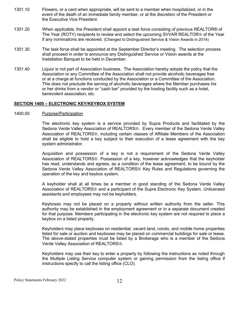- 1301.10 Flowers, or a card when appropriate, will be sent to a member when hospitalized, or in the event of the death of an immediate family member, or at the discretion of the President or the Executive Vice President.
- 1301.20 When applicable, the President shall appoint a task force consisting of previous REALTOR® of The Year (ROTY) recipients to review and select the upcoming SVVAR REALTOR<sup>®</sup> of the Year if any nominations are received. (Changed to Distinguished Service & Vision Awards in 2014)
- 1301.30 The task force shall be appointed at the September Director's meeting. The selection process shall proceed in order to announce any Distinguished Service or Vision awards at the Installation Banquet to be held in December.
- 1301.40 Liquor is not part of Association business. The Association hereby adopts the policy that the Association or any Committee of the Association shall not provide alcoholic beverages free or at a charge at functions conducted by the Association or a Committee of the Association. This does not preclude the serving of alcoholic beverages where the Member purchases his or her drinks from a vendor or "cash bar" provided by the hosting facility such as a hotel, benevolent association, etc.

## **SECTION 1400 – ELECTRONIC KEY/KEYBOX SYSTEM**

#### 1400.00 Purpose/Participation

The electronic key system is a service provided by Supra Products and facilitated by the Sedona Verde Valley Association of REALTORS<sup>®</sup>. Every member of the Sedona Verde Valley Association of REALTORS<sup>®</sup>, including certain classes of Affiliate Members of the Association shall be eligible to hold a key subject to their execution of a lease agreement with the key system administrator.

Acquisition and possession of a key is not a requirement of the Sedona Verde Valley Association of REALTORS®. Possession of a key, however acknowledges that the keyholder has read, understands and agrees, as a condition of the lease agreement, to be bound by the Sedona Verde Valley Association of REALTORS<sup>®</sup> Key Rules and Regulations governing the operation of the key and keybox system.

A keyholder shall at all times be a member in good standing of the Sedona Verde Valley Association of REALTORS<sup>®</sup> and a participant of the Supra Electronic Key System. Unlicensed assistants and employees may not be keyholders.

Keyboxes may not be placed on a property without written authority from the seller. This authority may be established in the employment agreement or in a separate document created for that purpose. Members participating in the electronic key system are not required to place a keybox on a listed property.

Keyholders may place keyboxes on residential, vacant land, condo, and mobile home properties listed for sale or auction and keyboxes may be placed on commercial buildings for sale or lease. The above-stated properties must be listed by a Brokerage who is a member of the Sedona Verde Valley Association of REALTORS<sup>®</sup>.

Keyholders may use their key to enter a property by following the instructions as noted through the Multiple Listing Service computer system or gaining permission from the listing office if instructions specify to call the listing office (CLO).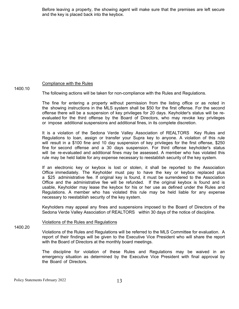Before leaving a property, the showing agent will make sure that the premises are left secure and the key is placed back into the keybox.

# Compliance with the Rules

1400.10

The following actions will be taken for non-compliance with the Rules and Regulations.

The fine for entering a property without permission from the listing office or as noted in the showing instructions in the MLS system shall be \$50 for the first offense. For the second offense there will be a suspension of key privileges for 20 days. Keyholder's status will be reevaluated for the third offense by the Board of Directors, who may revoke key privileges or impose additional suspensions and additional fines, in its complete discretion.

It is a violation of the Sedona Verde Valley Association of REALTORS Key Rules and Regulations to loan, assign or transfer your Supra key to anyone. A violation of this rule will result in a \$100 fine and 10 day suspension of key privileges for the first offense, \$250 fine for second offense and a 30 days suspension. For third offense keyholder's status will be re-evaluated and additional fines may be assessed. A member who has violated this rule may be held liable for any expense necessary to reestablish security of the key system.

If an electronic key or keybox is lost or stolen, it shall be reported to the Association Office immediately. The Keyholder must pay to have the key or keybox replaced plus a \$25 administrative fee. If original key is found, it must be surrendered to the Association Office and the administrative fee will be refunded. If the original keybox is found and is usable, Keyholder may lease the keybox for his or her use as defined under the Rules and Regulations. A member who has violated this rule may be held liable for any expense necessary to reestablish security of the key system.

Keyholders may appeal any fines and suspensions imposed to the Board of Directors of the Sedona Verde Valley Association of REALTORS within 30 days of the notice of discipline.

#### Violations of the Rules and Regulations

1400.20

Violations of the Rules and Regulations will be referred to the MLS Committee for evaluation. A report of their findings will be given to the Executive Vice President who will share the report with the Board of Directors at the monthly board meetings.

The discipline for violation of these Rules and Regulations may be waived in an emergency situation as determined by the Executive Vice President with final approval by the Board of Directors.